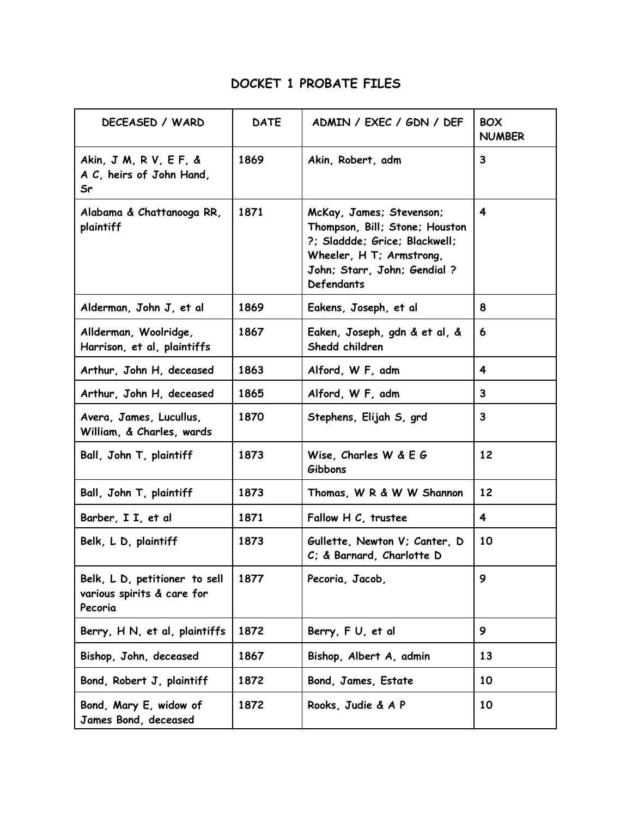## DOCKET 1 PROBATE FILES

| DECEASED / WARD                                                        | <b>DATE</b> | ADMIN / EXEC / GDN / DEF                                                                                                                                                    | <b>BOX</b><br><b>NUMBER</b> |
|------------------------------------------------------------------------|-------------|-----------------------------------------------------------------------------------------------------------------------------------------------------------------------------|-----------------------------|
| Akin, J M, R V, E F, &<br>A C, heirs of John Hand,<br>Sr               | 1869        | Akin, Robert, adm                                                                                                                                                           | 3                           |
| Alabama & Chattanooga RR,<br>plaintiff                                 | 1871        | McKay, James; Stevenson;<br>Thompson, Bill; Stone; Houston<br>?; Sladdde; Grice; Blackwell;<br>Wheeler, H T; Armstrong,<br>John; Starr, John; Gendial?<br><b>Defendants</b> | $\overline{\mathbf{4}}$     |
| Alderman, John J, et al                                                | 1869        | Eakens, Joseph, et al                                                                                                                                                       | 8                           |
| Allderman, Woolridge,<br>Harrison, et al, plaintiffs                   | 1867        | Eaken, Joseph, gdn & et al, &<br>Shedd children                                                                                                                             | 6                           |
| Arthur, John H, deceased                                               | 1863        | Alford, W F, adm                                                                                                                                                            | 4                           |
| Arthur, John H, deceased                                               | 1865        | Alford, W F, adm                                                                                                                                                            | 3                           |
| Avera, James, Lucullus,<br>William, & Charles, wards                   | 1870        | Stephens, Elijah S, grd                                                                                                                                                     | $\mathbf{3}$                |
| Ball, John T, plaintiff                                                | 1873        | Wise, Charles W & E G<br>Gibbons                                                                                                                                            | 12                          |
| Ball, John T, plaintiff                                                | 1873        | Thomas, W R & W W Shannon                                                                                                                                                   | 12                          |
| Barber, I I, et al                                                     | 1871        | Fallow H C, trustee                                                                                                                                                         | $\overline{4}$              |
| Belk, L D, plaintiff                                                   | 1873        | Gullette, Newton V; Canter, D<br>C; & Barnard, Charlotte D                                                                                                                  | 10                          |
| Belk, L D, petitioner to sell<br>various spirits & care for<br>Pecoria | 1877        | Pecoria, Jacob,                                                                                                                                                             | 9                           |
| Berry, H N, et al, plaintiffs                                          | 1872        | Berry, FU, et al                                                                                                                                                            | 9                           |
| Bishop, John, deceased                                                 | 1867        | Bishop, Albert A, admin                                                                                                                                                     | 13                          |
| Bond, Robert J, plaintiff                                              | 1872        | Bond, James, Estate                                                                                                                                                         | 10                          |
| Bond, Mary E, widow of<br>James Bond, deceased                         | 1872        | Rooks, Judie & A P                                                                                                                                                          | 10                          |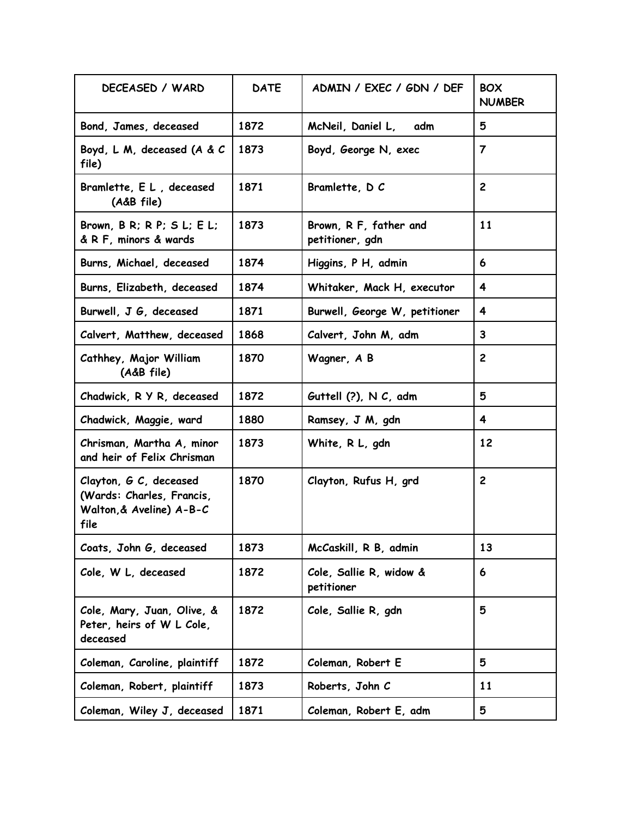| DECEASED / WARD                                                                         | <b>DATE</b> | ADMIN / EXEC / GDN / DEF                  | <b>BOX</b><br><b>NUMBER</b> |
|-----------------------------------------------------------------------------------------|-------------|-------------------------------------------|-----------------------------|
| Bond, James, deceased                                                                   | 1872        | McNeil, Daniel L,<br>adm                  | 5                           |
| Boyd, L M, deceased (A & C<br>file)                                                     | 1873        | Boyd, George N, exec                      | $\overline{7}$              |
| Bramlette, E L, deceased<br>(A&B file)                                                  | 1871        | Bramlette, DC                             | $\mathbf{2}$                |
| Brown, $B \ R$ ; $R \ P$ ; $S \ L$ ; $E \ L$ ;<br>& R F, minors & wards                 | 1873        | Brown, R F, father and<br>petitioner, gdn | 11                          |
| Burns, Michael, deceased                                                                | 1874        | Higgins, P H, admin                       | 6                           |
| Burns, Elizabeth, deceased                                                              | 1874        | Whitaker, Mack H, executor                | 4                           |
| Burwell, J G, deceased                                                                  | 1871        | Burwell, George W, petitioner             | 4                           |
| Calvert, Matthew, deceased                                                              | 1868        | Calvert, John M, adm                      | 3                           |
| Cathhey, Major William<br>(A&B file)                                                    | 1870        | Wagner, A B                               | $\overline{2}$              |
| Chadwick, R Y R, deceased                                                               | 1872        | Guttell $(?)$ , N $C$ , adm               | 5                           |
| Chadwick, Maggie, ward                                                                  | 1880        | Ramsey, J M, gdn                          | 4                           |
| Chrisman, Martha A, minor<br>and heir of Felix Chrisman                                 | 1873        | White, R L, gdn                           | 12                          |
| Clayton, G C, deceased<br>(Wards: Charles, Francis,<br>Walton, & Aveline) A-B-C<br>file | 1870        | Clayton, Rufus H, grd                     | $\mathbf{2}$                |
| Coats, John G, deceased                                                                 | 1873        | McCaskill, R B, admin                     | 13                          |
| Cole, W L, deceased                                                                     | 1872        | Cole, Sallie R, widow &<br>petitioner     | 6                           |
| Cole, Mary, Juan, Olive, &<br>Peter, heirs of W L Cole,<br>deceased                     | 1872        | Cole, Sallie R, gdn                       | 5                           |
| Coleman, Caroline, plaintiff                                                            | 1872        | Coleman, Robert E                         | 5                           |
| Coleman, Robert, plaintiff                                                              | 1873        | Roberts, John C                           | 11                          |
| Coleman, Wiley J, deceased                                                              | 1871        | Coleman, Robert E, adm                    | 5                           |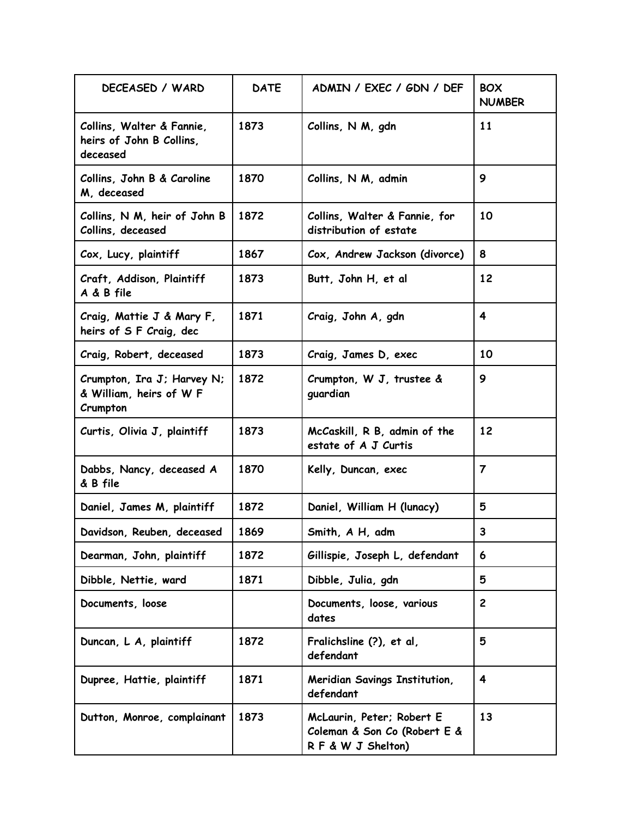| DECEASED / WARD                                                   | <b>DATE</b> | ADMIN / EXEC / GDN / DEF                                                       | <b>BOX</b><br><b>NUMBER</b> |
|-------------------------------------------------------------------|-------------|--------------------------------------------------------------------------------|-----------------------------|
| Collins, Walter & Fannie,<br>heirs of John B Collins,<br>deceased | 1873        | Collins, N M, gdn                                                              | 11                          |
| Collins, John B & Caroline<br>M, deceased                         | 1870        | Collins, N M, admin                                                            | 9                           |
| Collins, N M, heir of John B<br>Collins, deceased                 | 1872        | Collins, Walter & Fannie, for<br>distribution of estate                        | 10                          |
| Cox, Lucy, plaintiff                                              | 1867        | Cox, Andrew Jackson (divorce)                                                  | 8                           |
| Craft, Addison, Plaintiff<br>A & B file                           | 1873        | Butt, John H, et al                                                            | 12                          |
| Craig, Mattie J & Mary F,<br>heirs of S F Craig, dec              | 1871        | Craig, John A, gdn                                                             | $\overline{\mathbf{4}}$     |
| Craig, Robert, deceased                                           | 1873        | Craig, James D, exec                                                           | 10                          |
| Crumpton, Ira J; Harvey N;<br>& William, heirs of W F<br>Crumpton | 1872        | Crumpton, W J, trustee &<br>guardian                                           | 9                           |
| Curtis, Olivia J, plaintiff                                       | 1873        | McCaskill, R B, admin of the<br>estate of A J Curtis                           | 12                          |
| Dabbs, Nancy, deceased A<br>& B file                              | 1870        | Kelly, Duncan, exec                                                            | $\overline{7}$              |
| Daniel, James M, plaintiff                                        | 1872        | Daniel, William H (lunacy)                                                     | 5                           |
| Davidson, Reuben, deceased                                        | 1869        | Smith, A H, adm                                                                | 3                           |
| Dearman, John, plaintiff                                          | 1872        | Gillispie, Joseph L, defendant                                                 | 6                           |
| Dibble, Nettie, ward                                              | 1871        | Dibble, Julia, gdn                                                             | 5                           |
| Documents, loose                                                  |             | Documents, loose, various<br>dates                                             | $\mathbf{2}$                |
| Duncan, L A, plaintiff                                            | 1872        | Fralichsline (?), et al,<br>defendant                                          | 5                           |
| Dupree, Hattie, plaintiff                                         | 1871        | Meridian Savings Institution,<br>defendant                                     | 4                           |
| Dutton, Monroe, complainant                                       | 1873        | McLaurin, Peter; Robert E<br>Coleman & Son Co (Robert E &<br>RF & W J Shelton) | 13                          |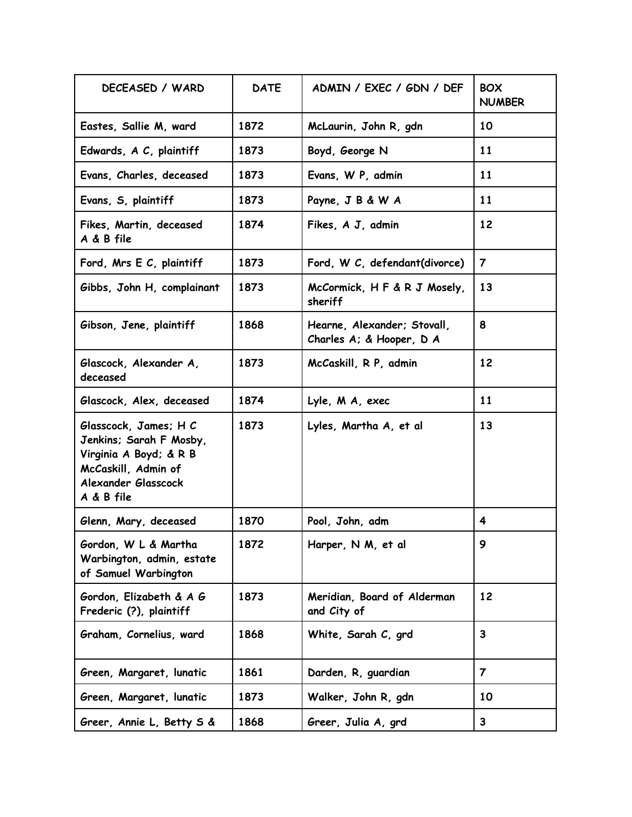| DECEASED / WARD                                                                                                                        | <b>DATE</b> | ADMIN / EXEC / GDN / DEF                                | <b>BOX</b><br><b>NUMBER</b> |
|----------------------------------------------------------------------------------------------------------------------------------------|-------------|---------------------------------------------------------|-----------------------------|
| Eastes, Sallie M, ward                                                                                                                 | 1872        | McLaurin, John R, gdn                                   | 10                          |
| Edwards, A C, plaintiff                                                                                                                | 1873        | Boyd, George N                                          | 11                          |
| Evans, Charles, deceased                                                                                                               | 1873        | Evans, W P, admin                                       | 11                          |
| Evans, S, plaintiff                                                                                                                    | 1873        | Payne, J B & W A                                        | 11                          |
| Fikes, Martin, deceased<br>A & B file                                                                                                  | 1874        | Fikes, A J, admin                                       | 12                          |
| Ford, Mrs E C, plaintiff                                                                                                               | 1873        | Ford, W C, defendant(divorce)                           | $\overline{7}$              |
| Gibbs, John H, complainant                                                                                                             | 1873        | McCormick, H F & R J Mosely,<br>sheriff                 | 13                          |
| Gibson, Jene, plaintiff                                                                                                                | 1868        | Hearne, Alexander; Stovall,<br>Charles A: & Hooper, D A | 8                           |
| Glascock, Alexander A,<br>deceased                                                                                                     | 1873        | McCaskill, R P, admin                                   | 12                          |
| Glascock, Alex, deceased                                                                                                               | 1874        | Lyle, M A, exec                                         | 11                          |
| Glasscock, James; H C<br>Jenkins; Sarah F Mosby,<br>Virginia A Boyd; & R B<br>McCaskill, Admin of<br>Alexander Glasscock<br>A & B file | 1873        | Lyles, Martha A, et al                                  | 13                          |
| Glenn, Mary, deceased                                                                                                                  | 1870        | Pool, John, adm                                         | 4                           |
| Gordon, W L & Martha<br>Warbington, admin, estate<br>of Samuel Warbington                                                              | 1872        | Harper, N M, et al                                      | 9                           |
| Gordon, Elizabeth & A G<br>Frederic (?), plaintiff                                                                                     | 1873        | Meridian, Board of Alderman<br>and City of              | 12                          |
| Graham, Cornelius, ward                                                                                                                | 1868        | White, Sarah C, grd                                     | 3                           |
| Green, Margaret, lunatic                                                                                                               | 1861        | Darden, R, guardian                                     | $\overline{7}$              |
| Green, Margaret, lunatic                                                                                                               | 1873        | Walker, John R, gdn                                     | 10                          |
| Greer, Annie L, Betty S &                                                                                                              | 1868        | Greer, Julia A, grd                                     | $\mathbf{3}$                |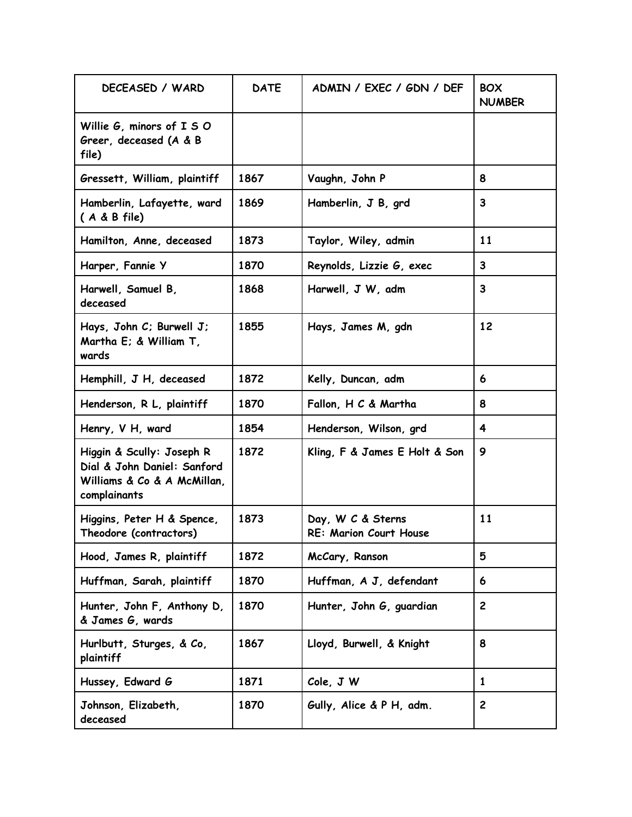| DECEASED / WARD                                                                                         | <b>DATE</b> | ADMIN / EXEC / GDN / DEF                           | <b>BOX</b><br><b>NUMBER</b> |
|---------------------------------------------------------------------------------------------------------|-------------|----------------------------------------------------|-----------------------------|
| Willie G, minors of I S O<br>Greer, deceased (A & B<br>file)                                            |             |                                                    |                             |
| Gressett, William, plaintiff                                                                            | 1867        | Vaughn, John P                                     | 8                           |
| Hamberlin, Lafayette, ward<br>$(A & B$ file)                                                            | 1869        | Hamberlin, J B, grd                                | $\mathbf{3}$                |
| Hamilton, Anne, deceased                                                                                | 1873        | Taylor, Wiley, admin                               | 11                          |
| Harper, Fannie Y                                                                                        | 1870        | Reynolds, Lizzie G, exec                           | 3                           |
| Harwell, Samuel B,<br>deceased                                                                          | 1868        | Harwell, J W, adm                                  | $\mathbf{3}$                |
| Hays, John C; Burwell J;<br>Martha E; & William T,<br>wards                                             | 1855        | Hays, James M, gdn                                 | 12                          |
| Hemphill, J H, deceased                                                                                 | 1872        | Kelly, Duncan, adm                                 | 6                           |
| Henderson, R L, plaintiff                                                                               | 1870        | Fallon, H C & Martha                               | 8                           |
| Henry, V H, ward                                                                                        | 1854        | Henderson, Wilson, grd                             | 4                           |
| Higgin & Scully: Joseph R<br>Dial & John Daniel: Sanford<br>Williams & Co & A McMillan,<br>complainants | 1872        | Kling, F & James E Holt & Son                      | 9                           |
| Higgins, Peter H & Spence,<br>Theodore (contractors)                                                    | 1873        | Day, W C & Sterns<br><b>RE: Marion Court House</b> | 11                          |
| Hood, James R, plaintiff                                                                                | 1872        | McCary, Ranson                                     | 5                           |
| Huffman, Sarah, plaintiff                                                                               | 1870        | Huffman, A J, defendant                            | 6                           |
| Hunter, John F, Anthony D,<br>& James G, wards                                                          | 1870        | Hunter, John G, guardian                           | $\mathbf{2}$                |
| Hurlbutt, Sturges, & Co,<br>plaintiff                                                                   | 1867        | Lloyd, Burwell, & Knight                           | 8                           |
| Hussey, Edward G                                                                                        | 1871        | Cole, J W                                          | 1                           |
| Johnson, Elizabeth,<br>deceased                                                                         | 1870        | Gully, Alice & P H, adm.                           | $\mathbf{2}$                |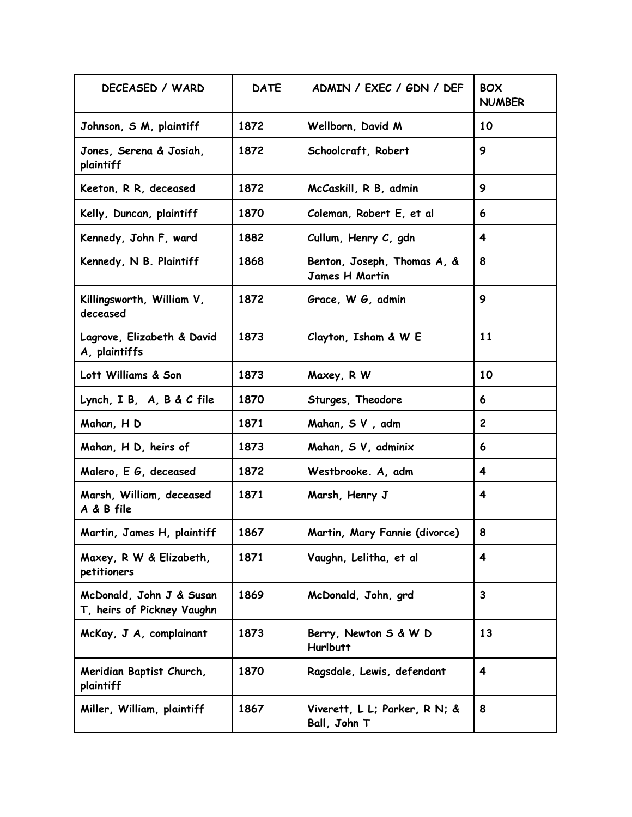| DECEASED / WARD                                        | <b>DATE</b> | ADMIN / EXEC / GDN / DEF                      | <b>BOX</b><br><b>NUMBER</b> |
|--------------------------------------------------------|-------------|-----------------------------------------------|-----------------------------|
| Johnson, S M, plaintiff                                | 1872        | Wellborn, David M                             | 10                          |
| Jones, Serena & Josiah,<br>plaintiff                   | 1872        | Schoolcraft, Robert                           | 9                           |
| Keeton, R R, deceased                                  | 1872        | McCaskill, R B, admin                         | 9                           |
| Kelly, Duncan, plaintiff                               | 1870        | Coleman, Robert E, et al                      | 6                           |
| Kennedy, John F, ward                                  | 1882        | Cullum, Henry C, gdn                          | $\overline{\mathbf{4}}$     |
| Kennedy, N B. Plaintiff                                | 1868        | Benton, Joseph, Thomas A, &<br>James H Martin | 8                           |
| Killingsworth, William V,<br>deceased                  | 1872        | Grace, W G, admin                             | 9                           |
| Lagrove, Elizabeth & David<br>A, plaintiffs            | 1873        | Clayton, Isham & W E                          | 11                          |
| Lott Williams & Son                                    | 1873        | Maxey, R W                                    | 10                          |
| Lynch, I B, A, B & C file                              | 1870        | Sturges, Theodore                             | 6                           |
| Mahan, H D                                             | 1871        | Mahan, SV, adm                                | $\mathbf{2}$                |
| Mahan, H D, heirs of                                   | 1873        | Mahan, S V, adminix                           | 6                           |
| Malero, E G, deceased                                  | 1872        | Westbrooke. A, adm                            | 4                           |
| Marsh, William, deceased<br>A & B file                 | 1871        | Marsh, Henry J                                | 4                           |
| Martin, James H, plaintiff                             | 1867        | Martin, Mary Fannie (divorce)                 | 8                           |
| Maxey, R W & Elizabeth,<br>petitioners                 | 1871        | Vaughn, Lelitha, et al                        | 4                           |
| McDonald, John J & Susan<br>T, heirs of Pickney Vaughn | 1869        | McDonald, John, grd                           | $\mathbf{3}$                |
| McKay, J A, complainant                                | 1873        | Berry, Newton S & W D<br><b>Hurlbutt</b>      | 13                          |
| Meridian Baptist Church,<br>plaintiff                  | 1870        | Ragsdale, Lewis, defendant                    | $\overline{\mathbf{4}}$     |
| Miller, William, plaintiff                             | 1867        | Viverett, L L; Parker, R N; &<br>Ball, John T | 8                           |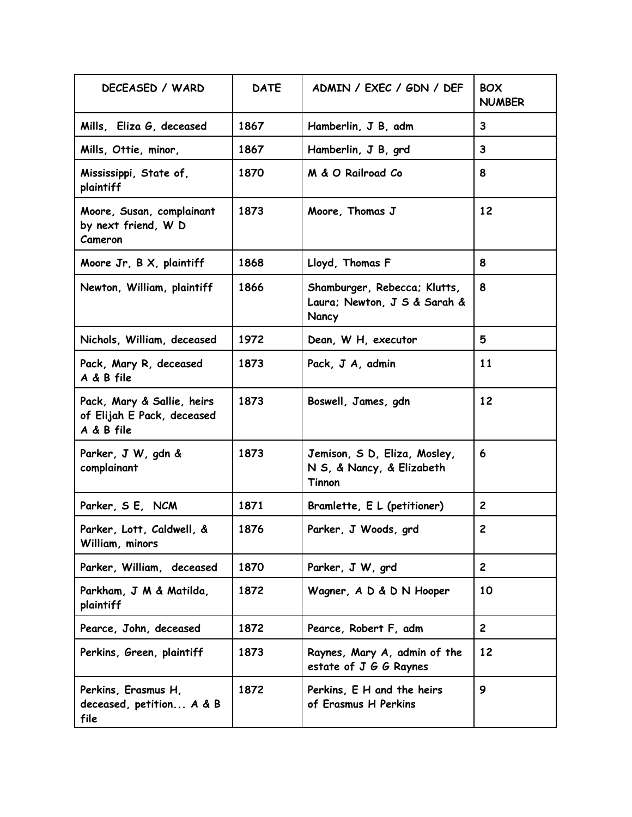| DECEASED / WARD                                                        | <b>DATE</b> | ADMIN / EXEC / GDN / DEF                                              | <b>BOX</b><br><b>NUMBER</b> |
|------------------------------------------------------------------------|-------------|-----------------------------------------------------------------------|-----------------------------|
| Mills, Eliza G, deceased                                               | 1867        | Hamberlin, J B, adm                                                   | 3                           |
| Mills, Ottie, minor,                                                   | 1867        | Hamberlin, J B, grd                                                   | 3                           |
| Mississippi, State of,<br>plaintiff                                    | 1870        | M & O Railroad Co                                                     | 8                           |
| Moore, Susan, complainant<br>by next friend, W D<br>Cameron            | 1873        | Moore, Thomas J                                                       | 12                          |
| Moore Jr, B X, plaintiff                                               | 1868        | Lloyd, Thomas F                                                       | 8                           |
| Newton, William, plaintiff                                             | 1866        | Shamburger, Rebecca; Klutts,<br>Laura; Newton, J S & Sarah &<br>Nancy | 8                           |
| Nichols, William, deceased                                             | 1972        | Dean, W H, executor                                                   | 5                           |
| Pack, Mary R, deceased<br>A & B file                                   | 1873        | Pack, J A, admin                                                      | 11                          |
| Pack, Mary & Sallie, heirs<br>of Elijah E Pack, deceased<br>A & B file | 1873        | Boswell, James, gdn                                                   | 12                          |
| Parker, J W, gdn &<br>complainant                                      | 1873        | Jemison, S D, Eliza, Mosley,<br>N S, & Nancy, & Elizabeth<br>Tinnon   | 6                           |
| Parker, SE, NCM                                                        | 1871        | Bramlette, E L (petitioner)                                           | $\overline{2}$              |
| Parker, Lott, Caldwell, &<br>William, minors                           | 1876        | Parker, J Woods, grd                                                  | $\mathbf{2}$                |
| Parker, William, deceased                                              | 1870        | Parker, J W, grd                                                      | $\mathbf{2}$                |
| Parkham, J M & Matilda,<br>plaintiff                                   | 1872        | Wagner, A D & D N Hooper                                              | 10                          |
| Pearce, John, deceased                                                 | 1872        | Pearce, Robert F, adm                                                 | $\overline{2}$              |
| Perkins, Green, plaintiff                                              | 1873        | Raynes, Mary A, admin of the<br>estate of J G G Raynes                | 12                          |
| Perkins, Erasmus H,<br>deceased, petition A & B<br>file                | 1872        | Perkins, E H and the heirs<br>of Erasmus H Perkins                    | 9                           |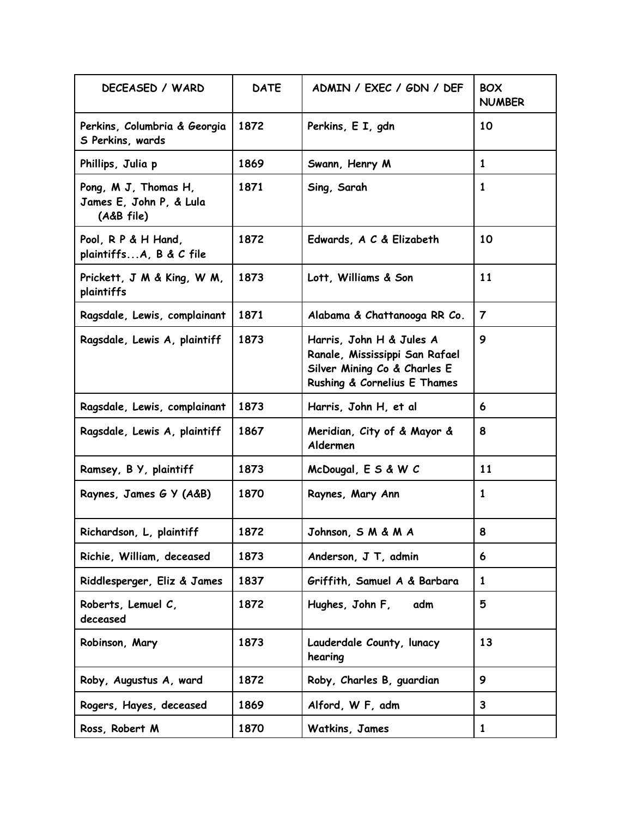| DECEASED / WARD                                               | <b>DATE</b> | ADMIN / EXEC / GDN / DEF                                                                                                   | <b>BOX</b><br><b>NUMBER</b> |
|---------------------------------------------------------------|-------------|----------------------------------------------------------------------------------------------------------------------------|-----------------------------|
| Perkins, Columbria & Georgia<br>S Perkins, wards              | 1872        | Perkins, E I, gdn                                                                                                          | 10                          |
| Phillips, Julia p                                             | 1869        | Swann, Henry M                                                                                                             | $\mathbf{1}$                |
| Pong, M J, Thomas H,<br>James E, John P, & Lula<br>(A&B file) | 1871        | Sing, Sarah                                                                                                                | 1                           |
| Pool, R P & H Hand,<br>plaintiffsA, B & C file                | 1872        | Edwards, A C & Elizabeth                                                                                                   | 10                          |
| Prickett, J M & King, W M,<br>plaintiffs                      | 1873        | Lott, Williams & Son                                                                                                       | 11                          |
| Ragsdale, Lewis, complainant                                  | 1871        | Alabama & Chattanooga RR Co.                                                                                               | $\overline{7}$              |
| Ragsdale, Lewis A, plaintiff                                  | 1873        | Harris, John H & Jules A<br>Ranale, Mississippi San Rafael<br>Silver Mining Co & Charles E<br>Rushing & Cornelius E Thames | 9                           |
| Ragsdale, Lewis, complainant                                  | 1873        | Harris, John H, et al                                                                                                      | 6                           |
| Ragsdale, Lewis A, plaintiff                                  | 1867        | Meridian, City of & Mayor &<br>Aldermen                                                                                    | 8                           |
| Ramsey, B Y, plaintiff                                        | 1873        | McDougal, E S & W C                                                                                                        | 11                          |
| Raynes, James G Y (A&B)                                       | 1870        | Raynes, Mary Ann                                                                                                           | 1                           |
| Richardson, L, plaintiff                                      | 1872        | Johnson, S M & M A                                                                                                         | 8                           |
| Richie, William, deceased                                     | 1873        | Anderson, J T, admin                                                                                                       | 6                           |
| Riddlesperger, Eliz & James                                   | 1837        | Griffith, Samuel A & Barbara                                                                                               | 1                           |
| Roberts, Lemuel C,<br>deceased                                | 1872        | Hughes, John F,<br>adm                                                                                                     | 5                           |
| Robinson, Mary                                                | 1873        | Lauderdale County, lunacy<br>hearing                                                                                       | 13                          |
| Roby, Augustus A, ward                                        | 1872        | Roby, Charles B, guardian                                                                                                  | 9                           |
| Rogers, Hayes, deceased                                       | 1869        | Alford, W F, adm                                                                                                           | $\mathbf{3}$                |
| Ross, Robert M                                                | 1870        | Watkins, James                                                                                                             | $\mathbf{1}$                |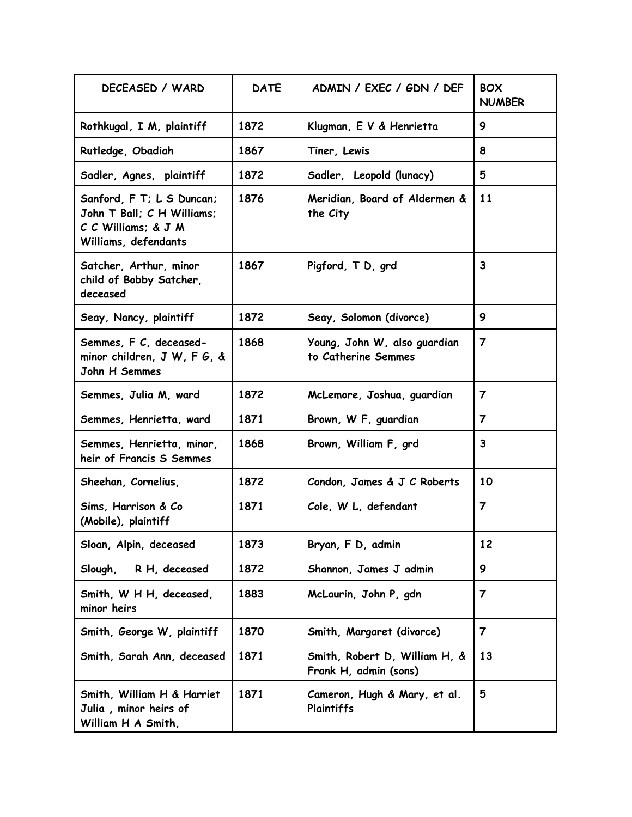| DECEASED / WARD                                                                                        | <b>DATE</b> | ADMIN / EXEC / GDN / DEF                               | <b>BOX</b><br><b>NUMBER</b> |
|--------------------------------------------------------------------------------------------------------|-------------|--------------------------------------------------------|-----------------------------|
| Rothkugal, I M, plaintiff                                                                              | 1872        | Klugman, E V & Henrietta                               | 9                           |
| Rutledge, Obadiah                                                                                      | 1867        | Tiner, Lewis                                           | 8                           |
| Sadler, Agnes, plaintiff                                                                               | 1872        | Sadler, Leopold (lunacy)                               | 5                           |
| Sanford, F T; L S Duncan;<br>John T Ball; C H Williams;<br>C C Williams; & J M<br>Williams, defendants | 1876        | Meridian, Board of Aldermen &<br>the City              | <b>11</b>                   |
| Satcher, Arthur, minor<br>child of Bobby Satcher,<br>deceased                                          | 1867        | Pigford, T D, grd                                      | 3                           |
| Seay, Nancy, plaintiff                                                                                 | 1872        | Seay, Solomon (divorce)                                | 9                           |
| Semmes, F C, deceased-<br>minor children, J W, F G, &<br>John H Semmes                                 | 1868        | Young, John W, also guardian<br>to Catherine Semmes    | $\overline{\mathbf{z}}$     |
| Semmes, Julia M, ward                                                                                  | 1872        | McLemore, Joshua, guardian                             | $\overline{7}$              |
| Semmes, Henrietta, ward                                                                                | 1871        | Brown, W F, guardian                                   | $\overline{7}$              |
| Semmes, Henrietta, minor,<br>heir of Francis S Semmes                                                  | 1868        | Brown, William F, grd                                  | $\mathbf{3}$                |
| Sheehan, Cornelius,                                                                                    | 1872        | Condon, James & J C Roberts                            | 10                          |
| Sims, Harrison & Co<br>(Mobile), plaintiff                                                             | 1871        | Cole, W L, defendant                                   | $\overline{7}$              |
| Sloan, Alpin, deceased                                                                                 | 1873        | Bryan, F D, admin                                      | 12                          |
| R H, deceased<br>Slough,                                                                               | 1872        | Shannon, James J admin                                 | 9                           |
| Smith, W H H, deceased,<br>minor heirs                                                                 | 1883        | McLaurin, John P, gdn                                  | 7                           |
| Smith, George W, plaintiff                                                                             | 1870        | Smith, Margaret (divorce)                              | $\overline{\mathbf{7}}$     |
| Smith, Sarah Ann, deceased                                                                             | 1871        | Smith, Robert D, William H, &<br>Frank H, admin (sons) | 13                          |
| Smith, William H & Harriet<br>Julia, minor heirs of<br>William H A Smith,                              | 1871        | Cameron, Hugh & Mary, et al.<br>Plaintiffs             | 5                           |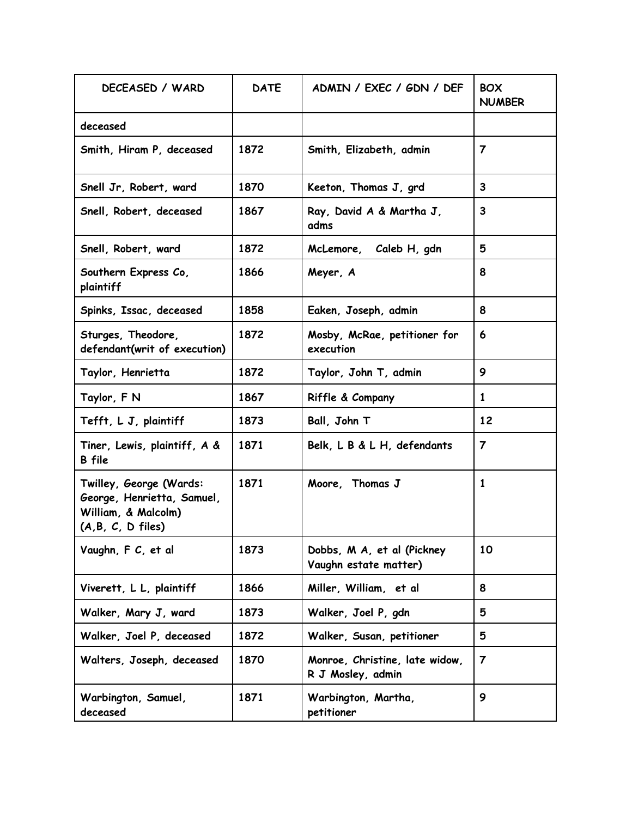| DECEASED / WARD                                                                                      | <b>DATE</b> | ADMIN / EXEC / GDN / DEF                            | <b>BOX</b><br><b>NUMBER</b> |
|------------------------------------------------------------------------------------------------------|-------------|-----------------------------------------------------|-----------------------------|
| deceased                                                                                             |             |                                                     |                             |
| Smith, Hiram P, deceased                                                                             | 1872        | Smith, Elizabeth, admin                             | $\overline{7}$              |
| Snell Jr, Robert, ward                                                                               | 1870        | Keeton, Thomas J, grd                               | 3                           |
| Snell, Robert, deceased                                                                              | 1867        | Ray, David A & Martha J,<br>adms                    | 3                           |
| Snell, Robert, ward                                                                                  | 1872        | McLemore, Caleb H, gdn                              | 5                           |
| Southern Express Co,<br>plaintiff                                                                    | 1866        | Meyer, A                                            | 8                           |
| Spinks, Issac, deceased                                                                              | 1858        | Eaken, Joseph, admin                                | 8                           |
| Sturges, Theodore,<br>defendant(writ of execution)                                                   | 1872        | Mosby, McRae, petitioner for<br>execution           | 6                           |
| Taylor, Henrietta                                                                                    | 1872        | Taylor, John T, admin                               | 9                           |
| Taylor, F N                                                                                          | 1867        | Riffle & Company                                    | $\mathbf{1}$                |
| Tefft, L J, plaintiff                                                                                | 1873        | Ball, John T                                        | 12                          |
| Tiner, Lewis, plaintiff, A &<br><b>B</b> file                                                        | 1871        | Belk, L B & L H, defendants                         | $\overline{7}$              |
| Twilley, George (Wards:<br>George, Henrietta, Samuel,<br>William, & Malcolm)<br>$(A, B, C, D$ files) | 1871        | Moore, Thomas J                                     | 1                           |
| Vaughn, F C, et al                                                                                   | 1873        | Dobbs, M A, et al (Pickney<br>Vaughn estate matter) | 10                          |
| Viverett, L L, plaintiff                                                                             | 1866        | Miller, William, et al                              | 8                           |
| Walker, Mary J, ward                                                                                 | 1873        | Walker, Joel P, gdn                                 | 5                           |
| Walker, Joel P, deceased                                                                             | 1872        | Walker, Susan, petitioner                           | 5                           |
| Walters, Joseph, deceased                                                                            | 1870        | Monroe, Christine, late widow,<br>R J Mosley, admin | $\overline{7}$              |
| Warbington, Samuel,<br>deceased                                                                      | 1871        | Warbington, Martha,<br>petitioner                   | 9                           |